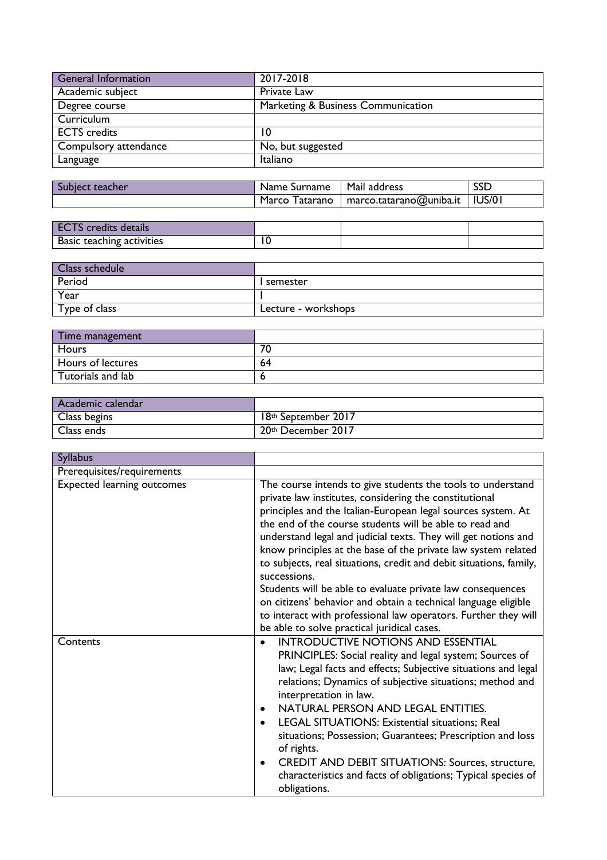| <b>General Information</b> | 2017-2018                          |
|----------------------------|------------------------------------|
| Academic subject           | Private Law                        |
| Degree course              | Marketing & Business Communication |
| Curriculum                 |                                    |
| <b>ECTS</b> credits        | 10                                 |
| Compulsory attendance      | No, but suggested                  |
| Language                   | Italiano                           |

| Subject teacher | Name Surname      | Mail address                     | <b>SSD</b> |
|-----------------|-------------------|----------------------------------|------------|
|                 | Marco<br>Tatarano | maxco.tatarano@uniba.it   IUS/01 |            |

| <b>ECTS</b> credits details |   |  |
|-----------------------------|---|--|
| Basic teaching activities   | £ |  |

| Class schedule |                     |
|----------------|---------------------|
| Period         | l semester          |
| Year           |                     |
| Type of class  | Lecture - workshops |

| Time management   |    |
|-------------------|----|
| Hours             | 70 |
| Hours of lectures | 64 |
| Tutorials and lab |    |

| Academic calendar |                     |
|-------------------|---------------------|
| Class begins      | 18th September 2017 |
| Class ends        | 20th December 2017  |

| <b>Syllabus</b>                   |                                                                                                                                                                                                                                                                                                                                                                                                                                                                                                                                                                                                                                                                                                                            |
|-----------------------------------|----------------------------------------------------------------------------------------------------------------------------------------------------------------------------------------------------------------------------------------------------------------------------------------------------------------------------------------------------------------------------------------------------------------------------------------------------------------------------------------------------------------------------------------------------------------------------------------------------------------------------------------------------------------------------------------------------------------------------|
| Prerequisites/requirements        |                                                                                                                                                                                                                                                                                                                                                                                                                                                                                                                                                                                                                                                                                                                            |
| <b>Expected learning outcomes</b> | The course intends to give students the tools to understand<br>private law institutes, considering the constitutional<br>principles and the Italian-European legal sources system. At<br>the end of the course students will be able to read and<br>understand legal and judicial texts. They will get notions and<br>know principles at the base of the private law system related<br>to subjects, real situations, credit and debit situations, family,<br>successions.<br>Students will be able to evaluate private law consequences<br>on citizens' behavior and obtain a technical language eligible<br>to interact with professional law operators. Further they will<br>be able to solve practical juridical cases. |
| Contents                          | <b>INTRODUCTIVE NOTIONS AND ESSENTIAL</b><br>$\bullet$<br>PRINCIPLES: Social reality and legal system; Sources of<br>law; Legal facts and effects; Subjective situations and legal<br>relations; Dynamics of subjective situations; method and<br>interpretation in law.<br>NATURAL PERSON AND LEGAL ENTITIES.<br>$\bullet$<br>LEGAL SITUATIONS: Existential situations; Real<br>situations; Possession; Guarantees; Prescription and loss<br>of rights.<br>CREDIT AND DEBIT SITUATIONS: Sources, structure,<br>$\bullet$<br>characteristics and facts of obligations; Typical species of<br>obligations.                                                                                                                  |